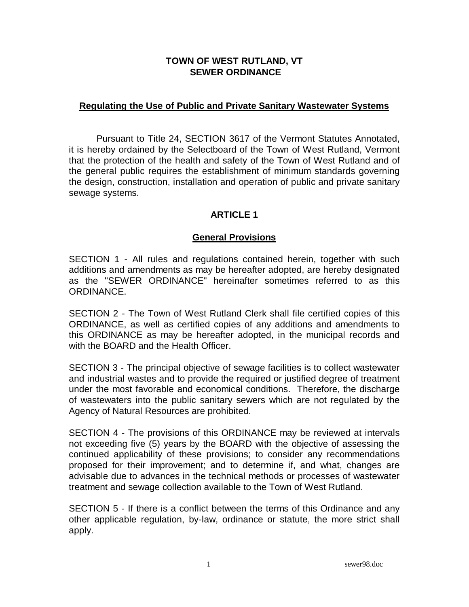#### **TOWN OF WEST RUTLAND, VT SEWER ORDINANCE**

#### **Regulating the Use of Public and Private Sanitary Wastewater Systems**

 Pursuant to Title 24, SECTION 3617 of the Vermont Statutes Annotated, it is hereby ordained by the Selectboard of the Town of West Rutland, Vermont that the protection of the health and safety of the Town of West Rutland and of the general public requires the establishment of minimum standards governing the design, construction, installation and operation of public and private sanitary sewage systems.

## **ARTICLE 1**

#### **General Provisions**

SECTION 1 - All rules and regulations contained herein, together with such additions and amendments as may be hereafter adopted, are hereby designated as the "SEWER ORDINANCE" hereinafter sometimes referred to as this ORDINANCE.

SECTION 2 - The Town of West Rutland Clerk shall file certified copies of this ORDINANCE, as well as certified copies of any additions and amendments to this ORDINANCE as may be hereafter adopted, in the municipal records and with the BOARD and the Health Officer.

SECTION 3 - The principal objective of sewage facilities is to collect wastewater and industrial wastes and to provide the required or justified degree of treatment under the most favorable and economical conditions. Therefore, the discharge of wastewaters into the public sanitary sewers which are not regulated by the Agency of Natural Resources are prohibited.

SECTION 4 - The provisions of this ORDINANCE may be reviewed at intervals not exceeding five (5) years by the BOARD with the objective of assessing the continued applicability of these provisions; to consider any recommendations proposed for their improvement; and to determine if, and what, changes are advisable due to advances in the technical methods or processes of wastewater treatment and sewage collection available to the Town of West Rutland.

SECTION 5 - If there is a conflict between the terms of this Ordinance and any other applicable regulation, by-law, ordinance or statute, the more strict shall apply.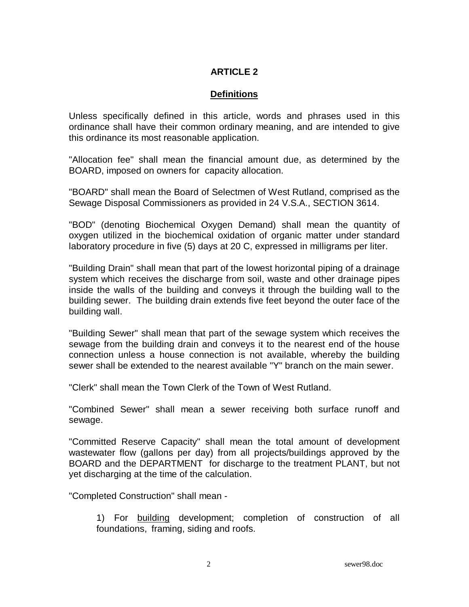#### **ARTICLE 2**

#### **Definitions**

Unless specifically defined in this article, words and phrases used in this ordinance shall have their common ordinary meaning, and are intended to give this ordinance its most reasonable application.

"Allocation fee" shall mean the financial amount due, as determined by the BOARD, imposed on owners for capacity allocation.

"BOARD" shall mean the Board of Selectmen of West Rutland, comprised as the Sewage Disposal Commissioners as provided in 24 V.S.A., SECTION 3614.

"BOD" (denoting Biochemical Oxygen Demand) shall mean the quantity of oxygen utilized in the biochemical oxidation of organic matter under standard laboratory procedure in five (5) days at 20 C, expressed in milligrams per liter.

"Building Drain" shall mean that part of the lowest horizontal piping of a drainage system which receives the discharge from soil, waste and other drainage pipes inside the walls of the building and conveys it through the building wall to the building sewer. The building drain extends five feet beyond the outer face of the building wall.

"Building Sewer" shall mean that part of the sewage system which receives the sewage from the building drain and conveys it to the nearest end of the house connection unless a house connection is not available, whereby the building sewer shall be extended to the nearest available "Y" branch on the main sewer.

"Clerk" shall mean the Town Clerk of the Town of West Rutland.

"Combined Sewer" shall mean a sewer receiving both surface runoff and sewage.

"Committed Reserve Capacity" shall mean the total amount of development wastewater flow (gallons per day) from all projects/buildings approved by the BOARD and the DEPARTMENT for discharge to the treatment PLANT, but not yet discharging at the time of the calculation.

"Completed Construction" shall mean -

 1) For building development; completion of construction of all foundations, framing, siding and roofs.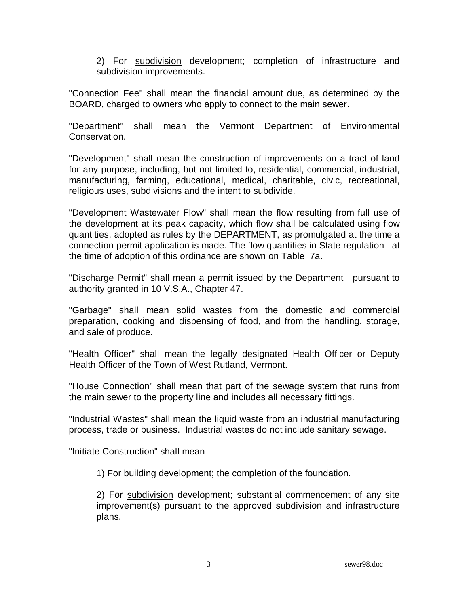2) For subdivision development; completion of infrastructure and subdivision improvements.

"Connection Fee" shall mean the financial amount due, as determined by the BOARD, charged to owners who apply to connect to the main sewer.

"Department" shall mean the Vermont Department of Environmental Conservation.

"Development" shall mean the construction of improvements on a tract of land for any purpose, including, but not limited to, residential, commercial, industrial, manufacturing, farming, educational, medical, charitable, civic, recreational, religious uses, subdivisions and the intent to subdivide.

"Development Wastewater Flow" shall mean the flow resulting from full use of the development at its peak capacity, which flow shall be calculated using flow quantities, adopted as rules by the DEPARTMENT, as promulgated at the time a connection permit application is made. The flow quantities in State regulation at the time of adoption of this ordinance are shown on Table 7a.

"Discharge Permit" shall mean a permit issued by the Department pursuant to authority granted in 10 V.S.A., Chapter 47.

"Garbage" shall mean solid wastes from the domestic and commercial preparation, cooking and dispensing of food, and from the handling, storage, and sale of produce.

"Health Officer" shall mean the legally designated Health Officer or Deputy Health Officer of the Town of West Rutland, Vermont.

"House Connection" shall mean that part of the sewage system that runs from the main sewer to the property line and includes all necessary fittings.

"Industrial Wastes" shall mean the liquid waste from an industrial manufacturing process, trade or business. Industrial wastes do not include sanitary sewage.

"Initiate Construction" shall mean -

1) For building development; the completion of the foundation.

 2) For subdivision development; substantial commencement of any site improvement(s) pursuant to the approved subdivision and infrastructure plans.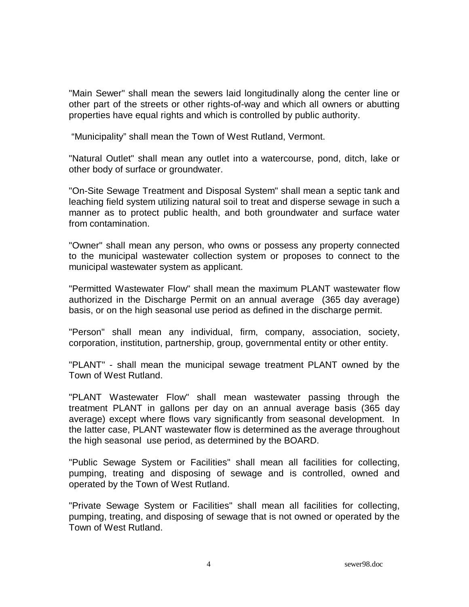"Main Sewer" shall mean the sewers laid longitudinally along the center line or other part of the streets or other rights-of-way and which all owners or abutting properties have equal rights and which is controlled by public authority.

"Municipality" shall mean the Town of West Rutland, Vermont.

"Natural Outlet" shall mean any outlet into a watercourse, pond, ditch, lake or other body of surface or groundwater.

"On-Site Sewage Treatment and Disposal System" shall mean a septic tank and leaching field system utilizing natural soil to treat and disperse sewage in such a manner as to protect public health, and both groundwater and surface water from contamination.

"Owner" shall mean any person, who owns or possess any property connected to the municipal wastewater collection system or proposes to connect to the municipal wastewater system as applicant.

"Permitted Wastewater Flow" shall mean the maximum PLANT wastewater flow authorized in the Discharge Permit on an annual average (365 day average) basis, or on the high seasonal use period as defined in the discharge permit.

"Person" shall mean any individual, firm, company, association, society, corporation, institution, partnership, group, governmental entity or other entity.

"PLANT" - shall mean the municipal sewage treatment PLANT owned by the Town of West Rutland.

"PLANT Wastewater Flow" shall mean wastewater passing through the treatment PLANT in gallons per day on an annual average basis (365 day average) except where flows vary significantly from seasonal development. In the latter case, PLANT wastewater flow is determined as the average throughout the high seasonal use period, as determined by the BOARD.

"Public Sewage System or Facilities" shall mean all facilities for collecting, pumping, treating and disposing of sewage and is controlled, owned and operated by the Town of West Rutland.

"Private Sewage System or Facilities" shall mean all facilities for collecting, pumping, treating, and disposing of sewage that is not owned or operated by the Town of West Rutland.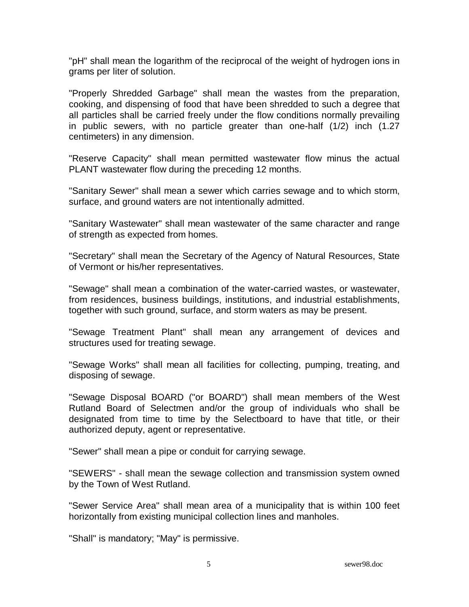"pH" shall mean the logarithm of the reciprocal of the weight of hydrogen ions in grams per liter of solution.

"Properly Shredded Garbage" shall mean the wastes from the preparation, cooking, and dispensing of food that have been shredded to such a degree that all particles shall be carried freely under the flow conditions normally prevailing in public sewers, with no particle greater than one-half (1/2) inch (1.27 centimeters) in any dimension.

"Reserve Capacity" shall mean permitted wastewater flow minus the actual PLANT wastewater flow during the preceding 12 months.

"Sanitary Sewer" shall mean a sewer which carries sewage and to which storm, surface, and ground waters are not intentionally admitted.

"Sanitary Wastewater" shall mean wastewater of the same character and range of strength as expected from homes.

"Secretary" shall mean the Secretary of the Agency of Natural Resources, State of Vermont or his/her representatives.

"Sewage" shall mean a combination of the water-carried wastes, or wastewater, from residences, business buildings, institutions, and industrial establishments, together with such ground, surface, and storm waters as may be present.

"Sewage Treatment Plant" shall mean any arrangement of devices and structures used for treating sewage.

"Sewage Works" shall mean all facilities for collecting, pumping, treating, and disposing of sewage.

"Sewage Disposal BOARD ("or BOARD") shall mean members of the West Rutland Board of Selectmen and/or the group of individuals who shall be designated from time to time by the Selectboard to have that title, or their authorized deputy, agent or representative.

"Sewer" shall mean a pipe or conduit for carrying sewage.

"SEWERS" - shall mean the sewage collection and transmission system owned by the Town of West Rutland.

"Sewer Service Area" shall mean area of a municipality that is within 100 feet horizontally from existing municipal collection lines and manholes.

"Shall" is mandatory; "May" is permissive.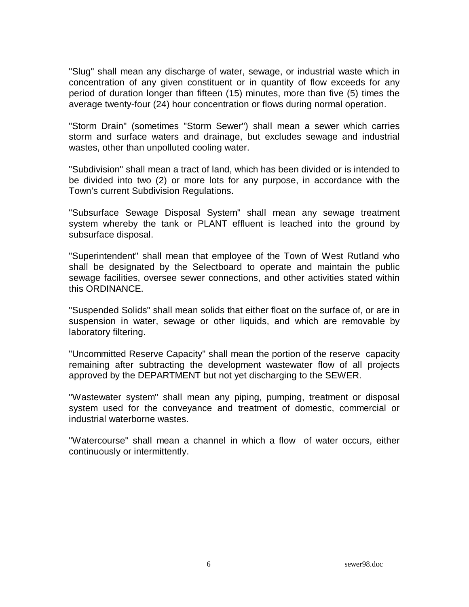"Slug" shall mean any discharge of water, sewage, or industrial waste which in concentration of any given constituent or in quantity of flow exceeds for any period of duration longer than fifteen (15) minutes, more than five (5) times the average twenty-four (24) hour concentration or flows during normal operation.

"Storm Drain" (sometimes "Storm Sewer") shall mean a sewer which carries storm and surface waters and drainage, but excludes sewage and industrial wastes, other than unpolluted cooling water.

"Subdivision" shall mean a tract of land, which has been divided or is intended to be divided into two (2) or more lots for any purpose, in accordance with the Town's current Subdivision Regulations.

"Subsurface Sewage Disposal System" shall mean any sewage treatment system whereby the tank or PLANT effluent is leached into the ground by subsurface disposal.

"Superintendent" shall mean that employee of the Town of West Rutland who shall be designated by the Selectboard to operate and maintain the public sewage facilities, oversee sewer connections, and other activities stated within this ORDINANCE.

"Suspended Solids" shall mean solids that either float on the surface of, or are in suspension in water, sewage or other liquids, and which are removable by laboratory filtering.

"Uncommitted Reserve Capacity" shall mean the portion of the reserve capacity remaining after subtracting the development wastewater flow of all projects approved by the DEPARTMENT but not yet discharging to the SEWER.

"Wastewater system" shall mean any piping, pumping, treatment or disposal system used for the conveyance and treatment of domestic, commercial or industrial waterborne wastes.

"Watercourse" shall mean a channel in which a flow of water occurs, either continuously or intermittently.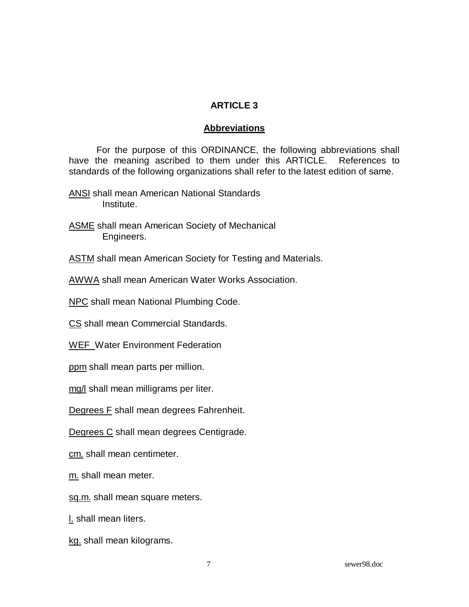### **ARTICLE 3**

### **Abbreviations**

 For the purpose of this ORDINANCE, the following abbreviations shall have the meaning ascribed to them under this ARTICLE. References to standards of the following organizations shall refer to the latest edition of same.

- ANSI shall mean American National Standards Institute.
- ASME shall mean American Society of Mechanical Engineers.
- **ASTM** shall mean American Society for Testing and Materials.
- AWWA shall mean American Water Works Association.

**NPC** shall mean National Plumbing Code.

CS shall mean Commercial Standards.

WEF Water Environment Federation

ppm shall mean parts per million.

mg/I shall mean milligrams per liter.

Degrees F shall mean degrees Fahrenheit.

Degrees C shall mean degrees Centigrade.

cm. shall mean centimeter.

m. shall mean meter.

sq.m. shall mean square meters.

l. shall mean liters.

kg. shall mean kilograms.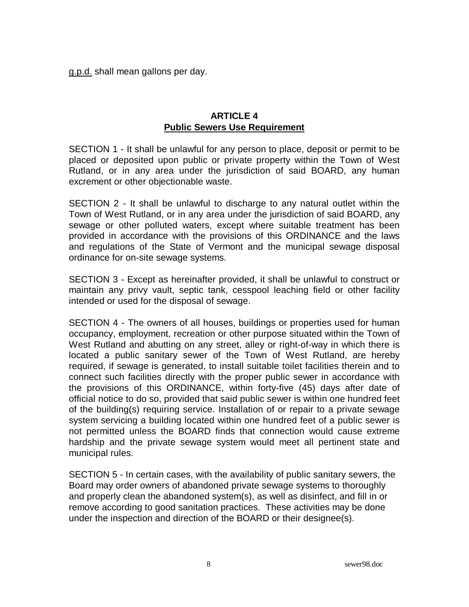g.p.d. shall mean gallons per day.

#### **ARTICLE 4 Public Sewers Use Requirement**

SECTION 1 - It shall be unlawful for any person to place, deposit or permit to be placed or deposited upon public or private property within the Town of West Rutland, or in any area under the jurisdiction of said BOARD, any human excrement or other objectionable waste.

SECTION 2 - It shall be unlawful to discharge to any natural outlet within the Town of West Rutland, or in any area under the jurisdiction of said BOARD, any sewage or other polluted waters, except where suitable treatment has been provided in accordance with the provisions of this ORDINANCE and the laws and regulations of the State of Vermont and the municipal sewage disposal ordinance for on-site sewage systems.

SECTION 3 - Except as hereinafter provided, it shall be unlawful to construct or maintain any privy vault, septic tank, cesspool leaching field or other facility intended or used for the disposal of sewage.

SECTION 4 - The owners of all houses, buildings or properties used for human occupancy, employment, recreation or other purpose situated within the Town of West Rutland and abutting on any street, alley or right-of-way in which there is located a public sanitary sewer of the Town of West Rutland, are hereby required, if sewage is generated, to install suitable toilet facilities therein and to connect such facilities directly with the proper public sewer in accordance with the provisions of this ORDINANCE, within forty-five (45) days after date of official notice to do so, provided that said public sewer is within one hundred feet of the building(s) requiring service. Installation of or repair to a private sewage system servicing a building located within one hundred feet of a public sewer is not permitted unless the BOARD finds that connection would cause extreme hardship and the private sewage system would meet all pertinent state and municipal rules.

SECTION 5 - In certain cases, with the availability of public sanitary sewers, the Board may order owners of abandoned private sewage systems to thoroughly and properly clean the abandoned system(s), as well as disinfect, and fill in or remove according to good sanitation practices. These activities may be done under the inspection and direction of the BOARD or their designee(s).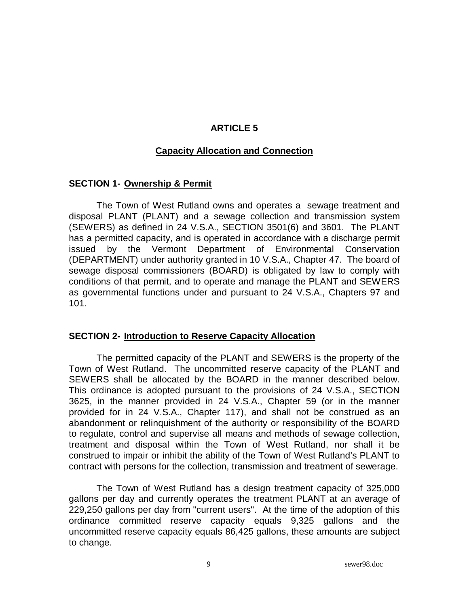#### **ARTICLE 5**

#### **Capacity Allocation and Connection**

#### **SECTION 1- Ownership & Permit**

 The Town of West Rutland owns and operates a sewage treatment and disposal PLANT (PLANT) and a sewage collection and transmission system (SEWERS) as defined in 24 V.S.A., SECTION 3501(6) and 3601. The PLANT has a permitted capacity, and is operated in accordance with a discharge permit issued by the Vermont Department of Environmental Conservation (DEPARTMENT) under authority granted in 10 V.S.A., Chapter 47. The board of sewage disposal commissioners (BOARD) is obligated by law to comply with conditions of that permit, and to operate and manage the PLANT and SEWERS as governmental functions under and pursuant to 24 V.S.A., Chapters 97 and 101.

#### **SECTION 2- Introduction to Reserve Capacity Allocation**

 The permitted capacity of the PLANT and SEWERS is the property of the Town of West Rutland. The uncommitted reserve capacity of the PLANT and SEWERS shall be allocated by the BOARD in the manner described below. This ordinance is adopted pursuant to the provisions of 24 V.S.A., SECTION 3625, in the manner provided in 24 V.S.A., Chapter 59 (or in the manner provided for in 24 V.S.A., Chapter 117), and shall not be construed as an abandonment or relinquishment of the authority or responsibility of the BOARD to regulate, control and supervise all means and methods of sewage collection, treatment and disposal within the Town of West Rutland, nor shall it be construed to impair or inhibit the ability of the Town of West Rutland's PLANT to contract with persons for the collection, transmission and treatment of sewerage.

 The Town of West Rutland has a design treatment capacity of 325,000 gallons per day and currently operates the treatment PLANT at an average of 229,250 gallons per day from "current users". At the time of the adoption of this ordinance committed reserve capacity equals 9,325 gallons and the uncommitted reserve capacity equals 86,425 gallons, these amounts are subject to change.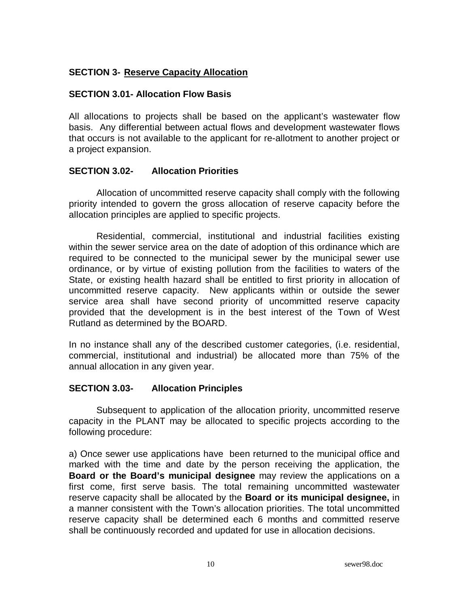### **SECTION 3- Reserve Capacity Allocation**

#### **SECTION 3.01- Allocation Flow Basis**

All allocations to projects shall be based on the applicant's wastewater flow basis. Any differential between actual flows and development wastewater flows that occurs is not available to the applicant for re-allotment to another project or a project expansion.

#### **SECTION 3.02- Allocation Priorities**

 Allocation of uncommitted reserve capacity shall comply with the following priority intended to govern the gross allocation of reserve capacity before the allocation principles are applied to specific projects.

Residential, commercial, institutional and industrial facilities existing within the sewer service area on the date of adoption of this ordinance which are required to be connected to the municipal sewer by the municipal sewer use ordinance, or by virtue of existing pollution from the facilities to waters of the State, or existing health hazard shall be entitled to first priority in allocation of uncommitted reserve capacity. New applicants within or outside the sewer service area shall have second priority of uncommitted reserve capacity provided that the development is in the best interest of the Town of West Rutland as determined by the BOARD.

In no instance shall any of the described customer categories, (i.e. residential, commercial, institutional and industrial) be allocated more than 75% of the annual allocation in any given year.

#### **SECTION 3.03- Allocation Principles**

 Subsequent to application of the allocation priority, uncommitted reserve capacity in the PLANT may be allocated to specific projects according to the following procedure:

a) Once sewer use applications have been returned to the municipal office and marked with the time and date by the person receiving the application, the **Board or the Board's municipal designee** may review the applications on a first come, first serve basis. The total remaining uncommitted wastewater reserve capacity shall be allocated by the **Board or its municipal designee,** in a manner consistent with the Town's allocation priorities. The total uncommitted reserve capacity shall be determined each 6 months and committed reserve shall be continuously recorded and updated for use in allocation decisions.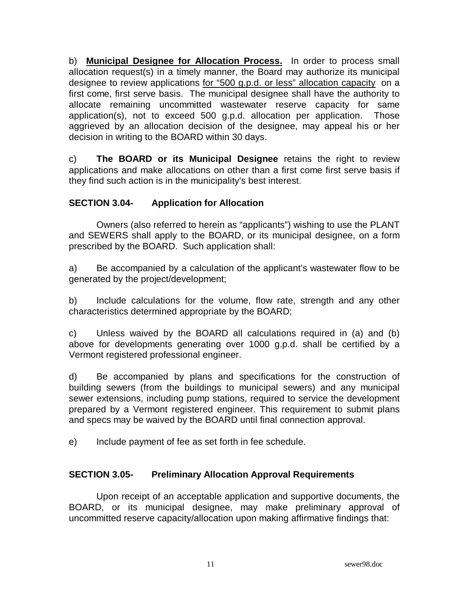b) **Municipal Designee for Allocation Process.** In order to process small allocation request(s) in a timely manner, the Board may authorize its municipal designee to review applications for "500 g.p.d. or less" allocation capacity on a first come, first serve basis. The municipal designee shall have the authority to allocate remaining uncommitted wastewater reserve capacity for same application(s), not to exceed 500 g.p.d. allocation per application.Those aggrieved by an allocation decision of the designee, may appeal his or her decision in writing to the BOARD within 30 days.

c) **The BOARD or its Municipal Designee** retains the right to review applications and make allocations on other than a first come first serve basis if they find such action is in the municipality's best interest.

### **SECTION 3.04- Application for Allocation**

 Owners (also referred to herein as "applicants") wishing to use the PLANT and SEWERS shall apply to the BOARD, or its municipal designee, on a form prescribed by the BOARD. Such application shall:

a) Be accompanied by a calculation of the applicant's wastewater flow to be generated by the project/development;

b) Include calculations for the volume, flow rate, strength and any other characteristics determined appropriate by the BOARD;

c) Unless waived by the BOARD all calculations required in (a) and (b) above for developments generating over 1000 g.p.d. shall be certified by a Vermont registered professional engineer.

d) Be accompanied by plans and specifications for the construction of building sewers (from the buildings to municipal sewers) and any municipal sewer extensions, including pump stations, required to service the development prepared by a Vermont registered engineer. This requirement to submit plans and specs may be waived by the BOARD until final connection approval.

e) Include payment of fee as set forth in fee schedule.

### **SECTION 3.05- Preliminary Allocation Approval Requirements**

 Upon receipt of an acceptable application and supportive documents, the BOARD, or its municipal designee, may make preliminary approval of uncommitted reserve capacity/allocation upon making affirmative findings that: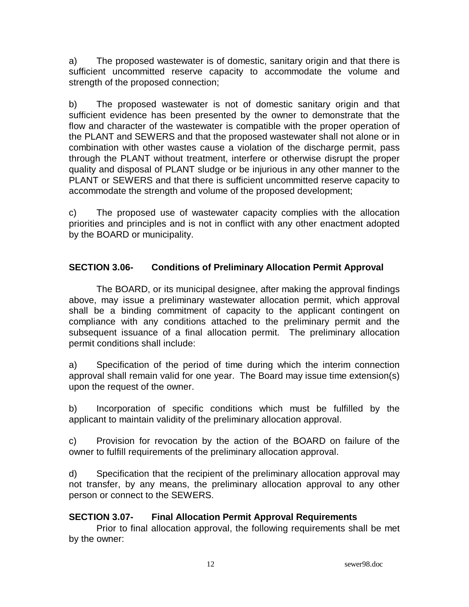a) The proposed wastewater is of domestic, sanitary origin and that there is sufficient uncommitted reserve capacity to accommodate the volume and strength of the proposed connection;

b) The proposed wastewater is not of domestic sanitary origin and that sufficient evidence has been presented by the owner to demonstrate that the flow and character of the wastewater is compatible with the proper operation of the PLANT and SEWERS and that the proposed wastewater shall not alone or in combination with other wastes cause a violation of the discharge permit, pass through the PLANT without treatment, interfere or otherwise disrupt the proper quality and disposal of PLANT sludge or be injurious in any other manner to the PLANT or SEWERS and that there is sufficient uncommitted reserve capacity to accommodate the strength and volume of the proposed development;

c) The proposed use of wastewater capacity complies with the allocation priorities and principles and is not in conflict with any other enactment adopted by the BOARD or municipality.

# **SECTION 3.06- Conditions of Preliminary Allocation Permit Approval**

 The BOARD, or its municipal designee, after making the approval findings above, may issue a preliminary wastewater allocation permit, which approval shall be a binding commitment of capacity to the applicant contingent on compliance with any conditions attached to the preliminary permit and the subsequent issuance of a final allocation permit. The preliminary allocation permit conditions shall include:

a) Specification of the period of time during which the interim connection approval shall remain valid for one year. The Board may issue time extension(s) upon the request of the owner.

b) Incorporation of specific conditions which must be fulfilled by the applicant to maintain validity of the preliminary allocation approval.

c) Provision for revocation by the action of the BOARD on failure of the owner to fulfill requirements of the preliminary allocation approval.

d) Specification that the recipient of the preliminary allocation approval may not transfer, by any means, the preliminary allocation approval to any other person or connect to the SEWERS.

### **SECTION 3.07- Final Allocation Permit Approval Requirements**

 Prior to final allocation approval, the following requirements shall be met by the owner: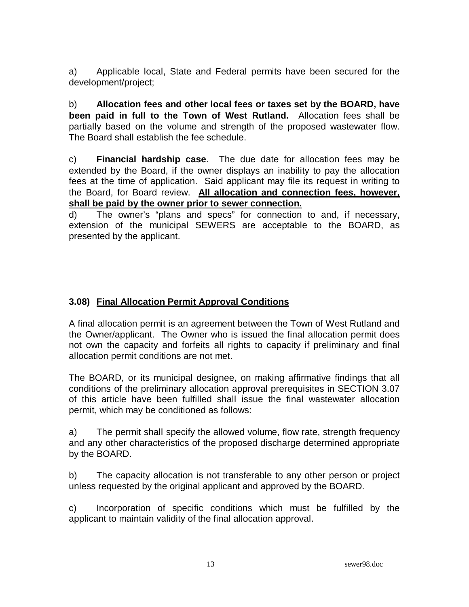a) Applicable local, State and Federal permits have been secured for the development/project;

b) **Allocation fees and other local fees or taxes set by the BOARD, have been paid in full to the Town of West Rutland.** Allocation fees shall be partially based on the volume and strength of the proposed wastewater flow. The Board shall establish the fee schedule.

c) **Financial hardship case**. The due date for allocation fees may be extended by the Board, if the owner displays an inability to pay the allocation fees at the time of application. Said applicant may file its request in writing to the Board, for Board review. **All allocation and connection fees, however, shall be paid by the owner prior to sewer connection.**

d) The owner's "plans and specs" for connection to and, if necessary, extension of the municipal SEWERS are acceptable to the BOARD, as presented by the applicant.

# **3.08) Final Allocation Permit Approval Conditions**

A final allocation permit is an agreement between the Town of West Rutland and the Owner/applicant. The Owner who is issued the final allocation permit does not own the capacity and forfeits all rights to capacity if preliminary and final allocation permit conditions are not met.

The BOARD, or its municipal designee, on making affirmative findings that all conditions of the preliminary allocation approval prerequisites in SECTION 3.07 of this article have been fulfilled shall issue the final wastewater allocation permit, which may be conditioned as follows:

a) The permit shall specify the allowed volume, flow rate, strength frequency and any other characteristics of the proposed discharge determined appropriate by the BOARD.

b) The capacity allocation is not transferable to any other person or project unless requested by the original applicant and approved by the BOARD.

c) Incorporation of specific conditions which must be fulfilled by the applicant to maintain validity of the final allocation approval.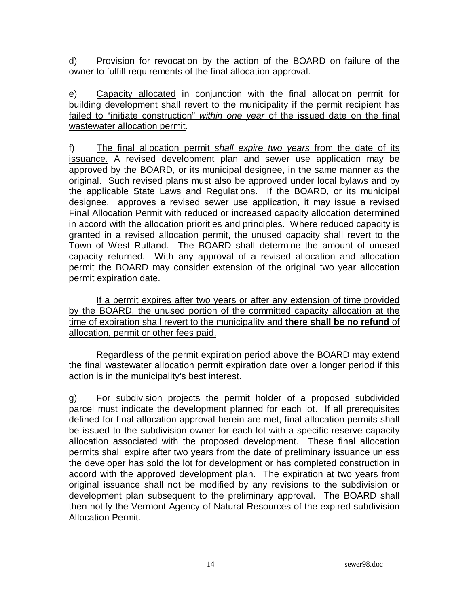d) Provision for revocation by the action of the BOARD on failure of the owner to fulfill requirements of the final allocation approval.

e) Capacity allocated in conjunction with the final allocation permit for building development shall revert to the municipality if the permit recipient has failed to "initiate construction" within one year of the issued date on the final wastewater allocation permit.

f) The final allocation permit shall expire two years from the date of its issuance. A revised development plan and sewer use application may be approved by the BOARD, or its municipal designee, in the same manner as the original. Such revised plans must also be approved under local bylaws and by the applicable State Laws and Regulations. If the BOARD, or its municipal designee, approves a revised sewer use application, it may issue a revised Final Allocation Permit with reduced or increased capacity allocation determined in accord with the allocation priorities and principles. Where reduced capacity is granted in a revised allocation permit, the unused capacity shall revert to the Town of West Rutland. The BOARD shall determine the amount of unused capacity returned. With any approval of a revised allocation and allocation permit the BOARD may consider extension of the original two year allocation permit expiration date.

 If a permit expires after two years or after any extension of time provided by the BOARD, the unused portion of the committed capacity allocation at the time of expiration shall revert to the municipality and **there shall be no refund** of allocation, permit or other fees paid.

 Regardless of the permit expiration period above the BOARD may extend the final wastewater allocation permit expiration date over a longer period if this action is in the municipality's best interest.

g) For subdivision projects the permit holder of a proposed subdivided parcel must indicate the development planned for each lot. If all prerequisites defined for final allocation approval herein are met, final allocation permits shall be issued to the subdivision owner for each lot with a specific reserve capacity allocation associated with the proposed development. These final allocation permits shall expire after two years from the date of preliminary issuance unless the developer has sold the lot for development or has completed construction in accord with the approved development plan. The expiration at two years from original issuance shall not be modified by any revisions to the subdivision or development plan subsequent to the preliminary approval. The BOARD shall then notify the Vermont Agency of Natural Resources of the expired subdivision Allocation Permit.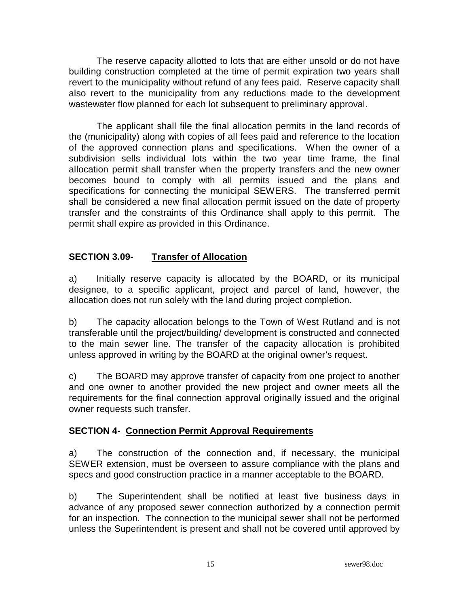The reserve capacity allotted to lots that are either unsold or do not have building construction completed at the time of permit expiration two years shall revert to the municipality without refund of any fees paid. Reserve capacity shall also revert to the municipality from any reductions made to the development wastewater flow planned for each lot subsequent to preliminary approval.

 The applicant shall file the final allocation permits in the land records of the (municipality) along with copies of all fees paid and reference to the location of the approved connection plans and specifications. When the owner of a subdivision sells individual lots within the two year time frame, the final allocation permit shall transfer when the property transfers and the new owner becomes bound to comply with all permits issued and the plans and specifications for connecting the municipal SEWERS. The transferred permit shall be considered a new final allocation permit issued on the date of property transfer and the constraints of this Ordinance shall apply to this permit. The permit shall expire as provided in this Ordinance.

## **SECTION 3.09- Transfer of Allocation**

a) Initially reserve capacity is allocated by the BOARD, or its municipal designee, to a specific applicant, project and parcel of land, however, the allocation does not run solely with the land during project completion.

b) The capacity allocation belongs to the Town of West Rutland and is not transferable until the project/building/ development is constructed and connected to the main sewer line. The transfer of the capacity allocation is prohibited unless approved in writing by the BOARD at the original owner's request.

c) The BOARD may approve transfer of capacity from one project to another and one owner to another provided the new project and owner meets all the requirements for the final connection approval originally issued and the original owner requests such transfer.

### **SECTION 4- Connection Permit Approval Requirements**

a) The construction of the connection and, if necessary, the municipal SEWER extension, must be overseen to assure compliance with the plans and specs and good construction practice in a manner acceptable to the BOARD.

b) The Superintendent shall be notified at least five business days in advance of any proposed sewer connection authorized by a connection permit for an inspection. The connection to the municipal sewer shall not be performed unless the Superintendent is present and shall not be covered until approved by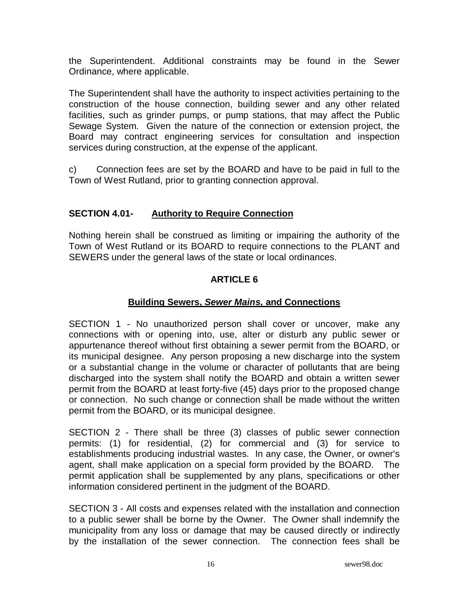the Superintendent. Additional constraints may be found in the Sewer Ordinance, where applicable.

The Superintendent shall have the authority to inspect activities pertaining to the construction of the house connection, building sewer and any other related facilities, such as grinder pumps, or pump stations, that may affect the Public Sewage System. Given the nature of the connection or extension project, the Board may contract engineering services for consultation and inspection services during construction, at the expense of the applicant.

c) Connection fees are set by the BOARD and have to be paid in full to the Town of West Rutland, prior to granting connection approval.

## **SECTION 4.01- Authority to Require Connection**

Nothing herein shall be construed as limiting or impairing the authority of the Town of West Rutland or its BOARD to require connections to the PLANT and SEWERS under the general laws of the state or local ordinances.

## **ARTICLE 6**

## **Building Sewers, Sewer Mains, and Connections**

SECTION 1 - No unauthorized person shall cover or uncover, make any connections with or opening into, use, alter or disturb any public sewer or appurtenance thereof without first obtaining a sewer permit from the BOARD, or its municipal designee. Any person proposing a new discharge into the system or a substantial change in the volume or character of pollutants that are being discharged into the system shall notify the BOARD and obtain a written sewer permit from the BOARD at least forty-five (45) days prior to the proposed change or connection. No such change or connection shall be made without the written permit from the BOARD, or its municipal designee.

SECTION 2 - There shall be three (3) classes of public sewer connection permits: (1) for residential, (2) for commercial and (3) for service to establishments producing industrial wastes. In any case, the Owner, or owner's agent, shall make application on a special form provided by the BOARD. The permit application shall be supplemented by any plans, specifications or other information considered pertinent in the judgment of the BOARD.

SECTION 3 - All costs and expenses related with the installation and connection to a public sewer shall be borne by the Owner. The Owner shall indemnify the municipality from any loss or damage that may be caused directly or indirectly by the installation of the sewer connection. The connection fees shall be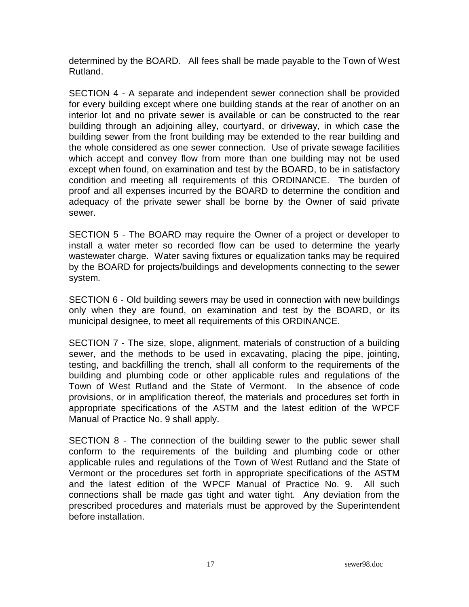determined by the BOARD. All fees shall be made payable to the Town of West Rutland.

SECTION 4 - A separate and independent sewer connection shall be provided for every building except where one building stands at the rear of another on an interior lot and no private sewer is available or can be constructed to the rear building through an adjoining alley, courtyard, or driveway, in which case the building sewer from the front building may be extended to the rear building and the whole considered as one sewer connection. Use of private sewage facilities which accept and convey flow from more than one building may not be used except when found, on examination and test by the BOARD, to be in satisfactory condition and meeting all requirements of this ORDINANCE. The burden of proof and all expenses incurred by the BOARD to determine the condition and adequacy of the private sewer shall be borne by the Owner of said private sewer.

SECTION 5 - The BOARD may require the Owner of a project or developer to install a water meter so recorded flow can be used to determine the yearly wastewater charge. Water saving fixtures or equalization tanks may be required by the BOARD for projects/buildings and developments connecting to the sewer system.

SECTION 6 - Old building sewers may be used in connection with new buildings only when they are found, on examination and test by the BOARD, or its municipal designee, to meet all requirements of this ORDINANCE.

SECTION 7 - The size, slope, alignment, materials of construction of a building sewer, and the methods to be used in excavating, placing the pipe, jointing, testing, and backfilling the trench, shall all conform to the requirements of the building and plumbing code or other applicable rules and regulations of the Town of West Rutland and the State of Vermont. In the absence of code provisions, or in amplification thereof, the materials and procedures set forth in appropriate specifications of the ASTM and the latest edition of the WPCF Manual of Practice No. 9 shall apply.

SECTION 8 - The connection of the building sewer to the public sewer shall conform to the requirements of the building and plumbing code or other applicable rules and regulations of the Town of West Rutland and the State of Vermont or the procedures set forth in appropriate specifications of the ASTM and the latest edition of the WPCF Manual of Practice No. 9. All such connections shall be made gas tight and water tight. Any deviation from the prescribed procedures and materials must be approved by the Superintendent before installation.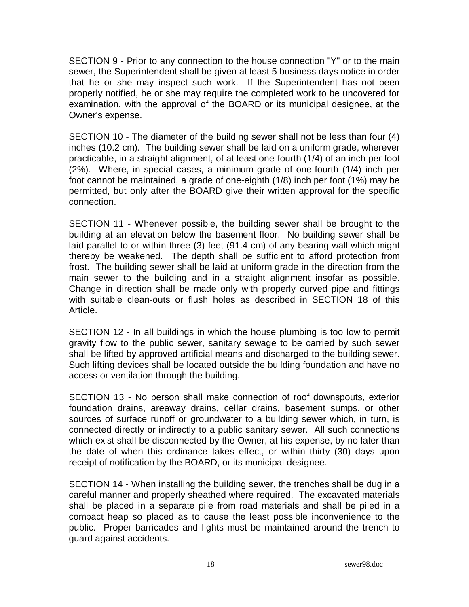SECTION 9 - Prior to any connection to the house connection "Y" or to the main sewer, the Superintendent shall be given at least 5 business days notice in order that he or she may inspect such work. If the Superintendent has not been properly notified, he or she may require the completed work to be uncovered for examination, with the approval of the BOARD or its municipal designee, at the Owner's expense.

SECTION 10 - The diameter of the building sewer shall not be less than four (4) inches (10.2 cm). The building sewer shall be laid on a uniform grade, wherever practicable, in a straight alignment, of at least one-fourth (1/4) of an inch per foot (2%). Where, in special cases, a minimum grade of one-fourth (1/4) inch per foot cannot be maintained, a grade of one-eighth (1/8) inch per foot (1%) may be permitted, but only after the BOARD give their written approval for the specific connection.

SECTION 11 - Whenever possible, the building sewer shall be brought to the building at an elevation below the basement floor. No building sewer shall be laid parallel to or within three (3) feet (91.4 cm) of any bearing wall which might thereby be weakened. The depth shall be sufficient to afford protection from frost. The building sewer shall be laid at uniform grade in the direction from the main sewer to the building and in a straight alignment insofar as possible. Change in direction shall be made only with properly curved pipe and fittings with suitable clean-outs or flush holes as described in SECTION 18 of this Article.

SECTION 12 - In all buildings in which the house plumbing is too low to permit gravity flow to the public sewer, sanitary sewage to be carried by such sewer shall be lifted by approved artificial means and discharged to the building sewer. Such lifting devices shall be located outside the building foundation and have no access or ventilation through the building.

SECTION 13 - No person shall make connection of roof downspouts, exterior foundation drains, areaway drains, cellar drains, basement sumps, or other sources of surface runoff or groundwater to a building sewer which, in turn, is connected directly or indirectly to a public sanitary sewer. All such connections which exist shall be disconnected by the Owner, at his expense, by no later than the date of when this ordinance takes effect, or within thirty (30) days upon receipt of notification by the BOARD, or its municipal designee.

SECTION 14 - When installing the building sewer, the trenches shall be dug in a careful manner and properly sheathed where required. The excavated materials shall be placed in a separate pile from road materials and shall be piled in a compact heap so placed as to cause the least possible inconvenience to the public. Proper barricades and lights must be maintained around the trench to guard against accidents.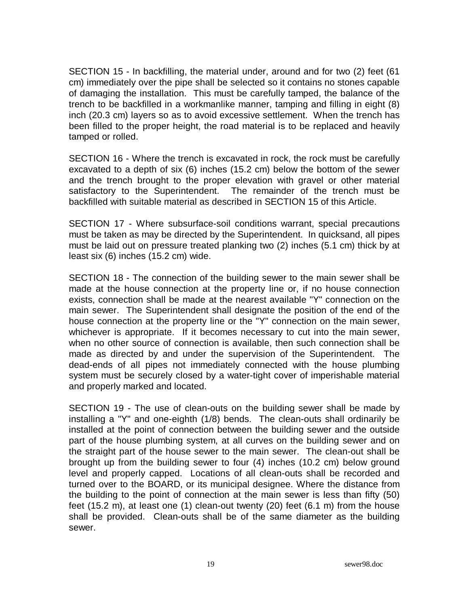SECTION 15 - In backfilling, the material under, around and for two (2) feet (61 cm) immediately over the pipe shall be selected so it contains no stones capable of damaging the installation. This must be carefully tamped, the balance of the trench to be backfilled in a workmanlike manner, tamping and filling in eight (8) inch (20.3 cm) layers so as to avoid excessive settlement. When the trench has been filled to the proper height, the road material is to be replaced and heavily tamped or rolled.

SECTION 16 - Where the trench is excavated in rock, the rock must be carefully excavated to a depth of six (6) inches (15.2 cm) below the bottom of the sewer and the trench brought to the proper elevation with gravel or other material satisfactory to the Superintendent. The remainder of the trench must be backfilled with suitable material as described in SECTION 15 of this Article.

SECTION 17 - Where subsurface-soil conditions warrant, special precautions must be taken as may be directed by the Superintendent. In quicksand, all pipes must be laid out on pressure treated planking two (2) inches (5.1 cm) thick by at least six (6) inches (15.2 cm) wide.

SECTION 18 - The connection of the building sewer to the main sewer shall be made at the house connection at the property line or, if no house connection exists, connection shall be made at the nearest available "Y" connection on the main sewer. The Superintendent shall designate the position of the end of the house connection at the property line or the "Y" connection on the main sewer, whichever is appropriate. If it becomes necessary to cut into the main sewer, when no other source of connection is available, then such connection shall be made as directed by and under the supervision of the Superintendent. The dead-ends of all pipes not immediately connected with the house plumbing system must be securely closed by a water-tight cover of imperishable material and properly marked and located.

SECTION 19 - The use of clean-outs on the building sewer shall be made by installing a "Y" and one-eighth (1/8) bends. The clean-outs shall ordinarily be installed at the point of connection between the building sewer and the outside part of the house plumbing system, at all curves on the building sewer and on the straight part of the house sewer to the main sewer. The clean-out shall be brought up from the building sewer to four (4) inches (10.2 cm) below ground level and properly capped. Locations of all clean-outs shall be recorded and turned over to the BOARD, or its municipal designee. Where the distance from the building to the point of connection at the main sewer is less than fifty (50) feet (15.2 m), at least one (1) clean-out twenty (20) feet (6.1 m) from the house shall be provided. Clean-outs shall be of the same diameter as the building sewer.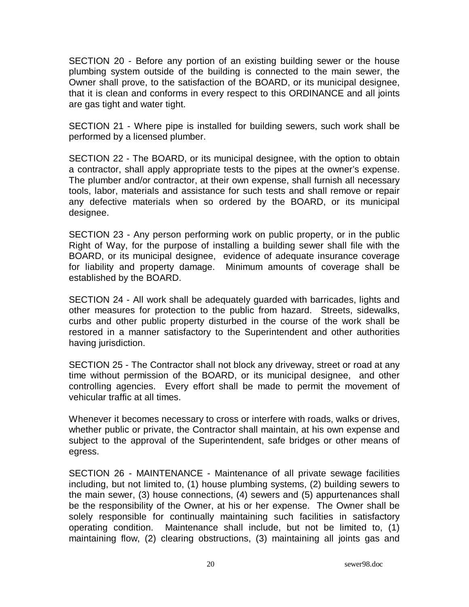SECTION 20 - Before any portion of an existing building sewer or the house plumbing system outside of the building is connected to the main sewer, the Owner shall prove, to the satisfaction of the BOARD, or its municipal designee, that it is clean and conforms in every respect to this ORDINANCE and all joints are gas tight and water tight.

SECTION 21 - Where pipe is installed for building sewers, such work shall be performed by a licensed plumber.

SECTION 22 - The BOARD, or its municipal designee, with the option to obtain a contractor, shall apply appropriate tests to the pipes at the owner's expense. The plumber and/or contractor, at their own expense, shall furnish all necessary tools, labor, materials and assistance for such tests and shall remove or repair any defective materials when so ordered by the BOARD, or its municipal designee.

SECTION 23 - Any person performing work on public property, or in the public Right of Way, for the purpose of installing a building sewer shall file with the BOARD, or its municipal designee, evidence of adequate insurance coverage for liability and property damage. Minimum amounts of coverage shall be established by the BOARD.

SECTION 24 - All work shall be adequately guarded with barricades, lights and other measures for protection to the public from hazard. Streets, sidewalks, curbs and other public property disturbed in the course of the work shall be restored in a manner satisfactory to the Superintendent and other authorities having jurisdiction.

SECTION 25 - The Contractor shall not block any driveway, street or road at any time without permission of the BOARD, or its municipal designee, and other controlling agencies. Every effort shall be made to permit the movement of vehicular traffic at all times.

Whenever it becomes necessary to cross or interfere with roads, walks or drives, whether public or private, the Contractor shall maintain, at his own expense and subject to the approval of the Superintendent, safe bridges or other means of egress.

SECTION 26 - MAINTENANCE - Maintenance of all private sewage facilities including, but not limited to, (1) house plumbing systems, (2) building sewers to the main sewer, (3) house connections, (4) sewers and (5) appurtenances shall be the responsibility of the Owner, at his or her expense. The Owner shall be solely responsible for continually maintaining such facilities in satisfactory operating condition. Maintenance shall include, but not be limited to, (1) maintaining flow, (2) clearing obstructions, (3) maintaining all joints gas and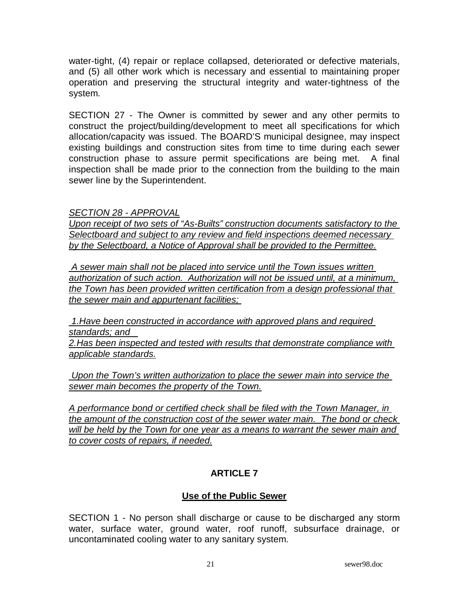water-tight, (4) repair or replace collapsed, deteriorated or defective materials, and (5) all other work which is necessary and essential to maintaining proper operation and preserving the structural integrity and water-tightness of the system.

SECTION 27 - The Owner is committed by sewer and any other permits to construct the project/building/development to meet all specifications for which allocation/capacity was issued. The BOARD'S municipal designee, may inspect existing buildings and construction sites from time to time during each sewer construction phase to assure permit specifications are being met. A final inspection shall be made prior to the connection from the building to the main sewer line by the Superintendent.

SECTION 28 - APPROVAL

Upon receipt of two sets of "As-Builts" construction documents satisfactory to the Selectboard and subject to any review and field inspections deemed necessary by the Selectboard, a Notice of Approval shall be provided to the Permittee.

 A sewer main shall not be placed into service until the Town issues written authorization of such action. Authorization will not be issued until, at a minimum, the Town has been provided written certification from a design professional that the sewer main and appurtenant facilities;

 1.Have been constructed in accordance with approved plans and required standards; and

2.Has been inspected and tested with results that demonstrate compliance with applicable standards.

 Upon the Town's written authorization to place the sewer main into service the sewer main becomes the property of the Town.

A performance bond or certified check shall be filed with the Town Manager, in the amount of the construction cost of the sewer water main. The bond or check will be held by the Town for one year as a means to warrant the sewer main and to cover costs of repairs, if needed.

# **ARTICLE 7**

# **Use of the Public Sewer**

SECTION 1 - No person shall discharge or cause to be discharged any storm water, surface water, ground water, roof runoff, subsurface drainage, or uncontaminated cooling water to any sanitary system.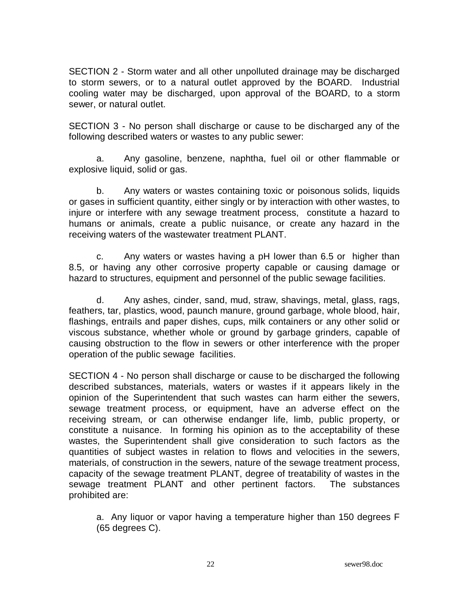SECTION 2 - Storm water and all other unpolluted drainage may be discharged to storm sewers, or to a natural outlet approved by the BOARD. Industrial cooling water may be discharged, upon approval of the BOARD, to a storm sewer, or natural outlet.

SECTION 3 - No person shall discharge or cause to be discharged any of the following described waters or wastes to any public sewer:

 a. Any gasoline, benzene, naphtha, fuel oil or other flammable or explosive liquid, solid or gas.

 b. Any waters or wastes containing toxic or poisonous solids, liquids or gases in sufficient quantity, either singly or by interaction with other wastes, to injure or interfere with any sewage treatment process, constitute a hazard to humans or animals, create a public nuisance, or create any hazard in the receiving waters of the wastewater treatment PLANT.

 c. Any waters or wastes having a pH lower than 6.5 or higher than 8.5, or having any other corrosive property capable or causing damage or hazard to structures, equipment and personnel of the public sewage facilities.

 d. Any ashes, cinder, sand, mud, straw, shavings, metal, glass, rags, feathers, tar, plastics, wood, paunch manure, ground garbage, whole blood, hair, flashings, entrails and paper dishes, cups, milk containers or any other solid or viscous substance, whether whole or ground by garbage grinders, capable of causing obstruction to the flow in sewers or other interference with the proper operation of the public sewage facilities.

SECTION 4 - No person shall discharge or cause to be discharged the following described substances, materials, waters or wastes if it appears likely in the opinion of the Superintendent that such wastes can harm either the sewers, sewage treatment process, or equipment, have an adverse effect on the receiving stream, or can otherwise endanger life, limb, public property, or constitute a nuisance. In forming his opinion as to the acceptability of these wastes, the Superintendent shall give consideration to such factors as the quantities of subject wastes in relation to flows and velocities in the sewers, materials, of construction in the sewers, nature of the sewage treatment process, capacity of the sewage treatment PLANT, degree of treatability of wastes in the sewage treatment PLANT and other pertinent factors. The substances prohibited are:

 a. Any liquor or vapor having a temperature higher than 150 degrees F (65 degrees C).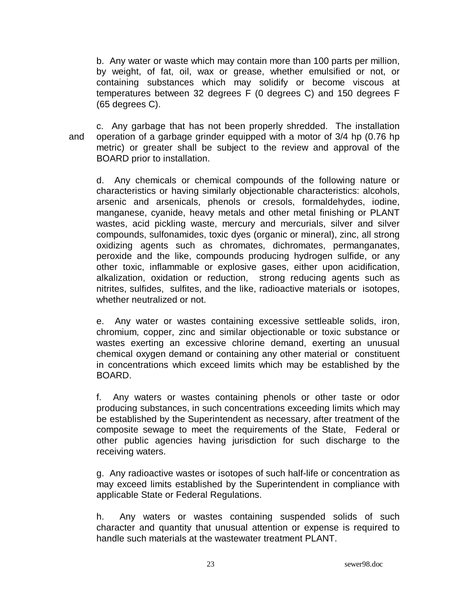b. Any water or waste which may contain more than 100 parts per million, by weight, of fat, oil, wax or grease, whether emulsified or not, or containing substances which may solidify or become viscous at temperatures between 32 degrees F (0 degrees C) and 150 degrees F (65 degrees C).

 c. Any garbage that has not been properly shredded. The installation and operation of a garbage grinder equipped with a motor of 3/4 hp (0.76 hp metric) or greater shall be subject to the review and approval of the BOARD prior to installation.

 d. Any chemicals or chemical compounds of the following nature or characteristics or having similarly objectionable characteristics: alcohols, arsenic and arsenicals, phenols or cresols, formaldehydes, iodine, manganese, cyanide, heavy metals and other metal finishing or PLANT wastes, acid pickling waste, mercury and mercurials, silver and silver compounds, sulfonamides, toxic dyes (organic or mineral), zinc, all strong oxidizing agents such as chromates, dichromates, permanganates, peroxide and the like, compounds producing hydrogen sulfide, or any other toxic, inflammable or explosive gases, either upon acidification, alkalization, oxidation or reduction, strong reducing agents such as nitrites, sulfides, sulfites, and the like, radioactive materials or isotopes, whether neutralized or not.

 e. Any water or wastes containing excessive settleable solids, iron, chromium, copper, zinc and similar objectionable or toxic substance or wastes exerting an excessive chlorine demand, exerting an unusual chemical oxygen demand or containing any other material or constituent in concentrations which exceed limits which may be established by the BOARD.

 f. Any waters or wastes containing phenols or other taste or odor producing substances, in such concentrations exceeding limits which may be established by the Superintendent as necessary, after treatment of the composite sewage to meet the requirements of the State, Federal or other public agencies having jurisdiction for such discharge to the receiving waters.

 g. Any radioactive wastes or isotopes of such half-life or concentration as may exceed limits established by the Superintendent in compliance with applicable State or Federal Regulations.

 h. Any waters or wastes containing suspended solids of such character and quantity that unusual attention or expense is required to handle such materials at the wastewater treatment PLANT.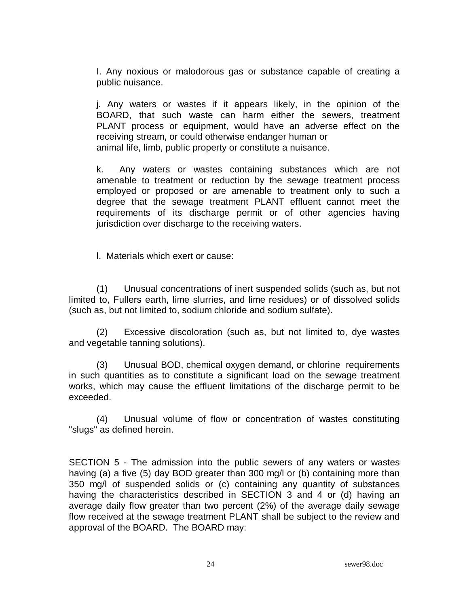I. Any noxious or malodorous gas or substance capable of creating a public nuisance.

 j. Any waters or wastes if it appears likely, in the opinion of the BOARD, that such waste can harm either the sewers, treatment PLANT process or equipment, would have an adverse effect on the receiving stream, or could otherwise endanger human or animal life, limb, public property or constitute a nuisance.

 k. Any waters or wastes containing substances which are not amenable to treatment or reduction by the sewage treatment process employed or proposed or are amenable to treatment only to such a degree that the sewage treatment PLANT effluent cannot meet the requirements of its discharge permit or of other agencies having jurisdiction over discharge to the receiving waters.

l. Materials which exert or cause:

 (1) Unusual concentrations of inert suspended solids (such as, but not limited to, Fullers earth, lime slurries, and lime residues) or of dissolved solids (such as, but not limited to, sodium chloride and sodium sulfate).

 (2) Excessive discoloration (such as, but not limited to, dye wastes and vegetable tanning solutions).

 (3) Unusual BOD, chemical oxygen demand, or chlorine requirements in such quantities as to constitute a significant load on the sewage treatment works, which may cause the effluent limitations of the discharge permit to be exceeded.

 (4) Unusual volume of flow or concentration of wastes constituting "slugs" as defined herein.

SECTION 5 - The admission into the public sewers of any waters or wastes having (a) a five (5) day BOD greater than 300 mg/l or (b) containing more than 350 mg/l of suspended solids or (c) containing any quantity of substances having the characteristics described in SECTION 3 and 4 or (d) having an average daily flow greater than two percent (2%) of the average daily sewage flow received at the sewage treatment PLANT shall be subject to the review and approval of the BOARD. The BOARD may: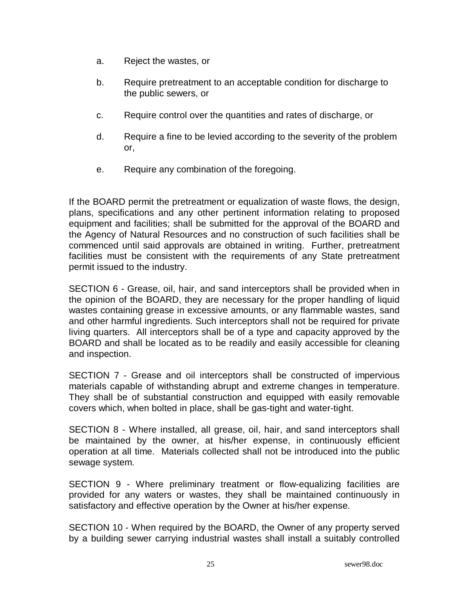- a. Reject the wastes, or
- b. Require pretreatment to an acceptable condition for discharge to the public sewers, or
- c. Require control over the quantities and rates of discharge, or
- d. Require a fine to be levied according to the severity of the problem or,
- e. Require any combination of the foregoing.

If the BOARD permit the pretreatment or equalization of waste flows, the design, plans, specifications and any other pertinent information relating to proposed equipment and facilities; shall be submitted for the approval of the BOARD and the Agency of Natural Resources and no construction of such facilities shall be commenced until said approvals are obtained in writing. Further, pretreatment facilities must be consistent with the requirements of any State pretreatment permit issued to the industry.

SECTION 6 - Grease, oil, hair, and sand interceptors shall be provided when in the opinion of the BOARD, they are necessary for the proper handling of liquid wastes containing grease in excessive amounts, or any flammable wastes, sand and other harmful ingredients. Such interceptors shall not be required for private living quarters. All interceptors shall be of a type and capacity approved by the BOARD and shall be located as to be readily and easily accessible for cleaning and inspection.

SECTION 7 - Grease and oil interceptors shall be constructed of impervious materials capable of withstanding abrupt and extreme changes in temperature. They shall be of substantial construction and equipped with easily removable covers which, when bolted in place, shall be gas-tight and water-tight.

SECTION 8 - Where installed, all grease, oil, hair, and sand interceptors shall be maintained by the owner, at his/her expense, in continuously efficient operation at all time. Materials collected shall not be introduced into the public sewage system.

SECTION 9 - Where preliminary treatment or flow-equalizing facilities are provided for any waters or wastes, they shall be maintained continuously in satisfactory and effective operation by the Owner at his/her expense.

SECTION 10 - When required by the BOARD, the Owner of any property served by a building sewer carrying industrial wastes shall install a suitably controlled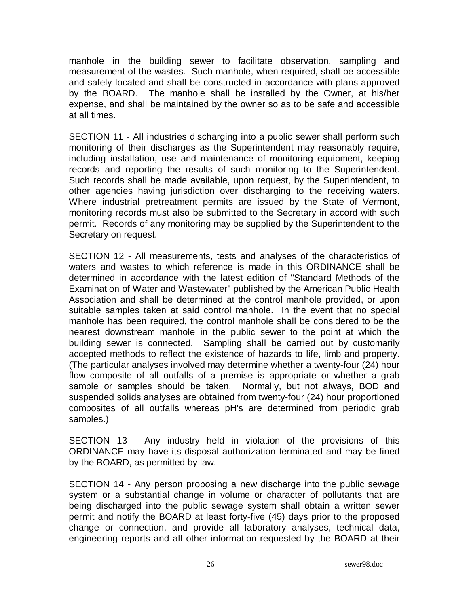manhole in the building sewer to facilitate observation, sampling and measurement of the wastes. Such manhole, when required, shall be accessible and safely located and shall be constructed in accordance with plans approved by the BOARD. The manhole shall be installed by the Owner, at his/her expense, and shall be maintained by the owner so as to be safe and accessible at all times.

SECTION 11 - All industries discharging into a public sewer shall perform such monitoring of their discharges as the Superintendent may reasonably require, including installation, use and maintenance of monitoring equipment, keeping records and reporting the results of such monitoring to the Superintendent. Such records shall be made available, upon request, by the Superintendent, to other agencies having jurisdiction over discharging to the receiving waters. Where industrial pretreatment permits are issued by the State of Vermont, monitoring records must also be submitted to the Secretary in accord with such permit. Records of any monitoring may be supplied by the Superintendent to the Secretary on request.

SECTION 12 - All measurements, tests and analyses of the characteristics of waters and wastes to which reference is made in this ORDINANCE shall be determined in accordance with the latest edition of "Standard Methods of the Examination of Water and Wastewater" published by the American Public Health Association and shall be determined at the control manhole provided, or upon suitable samples taken at said control manhole. In the event that no special manhole has been required, the control manhole shall be considered to be the nearest downstream manhole in the public sewer to the point at which the building sewer is connected. Sampling shall be carried out by customarily accepted methods to reflect the existence of hazards to life, limb and property. (The particular analyses involved may determine whether a twenty-four (24) hour flow composite of all outfalls of a premise is appropriate or whether a grab sample or samples should be taken. Normally, but not always, BOD and suspended solids analyses are obtained from twenty-four (24) hour proportioned composites of all outfalls whereas pH's are determined from periodic grab samples.)

SECTION 13 - Any industry held in violation of the provisions of this ORDINANCE may have its disposal authorization terminated and may be fined by the BOARD, as permitted by law.

SECTION 14 - Any person proposing a new discharge into the public sewage system or a substantial change in volume or character of pollutants that are being discharged into the public sewage system shall obtain a written sewer permit and notify the BOARD at least forty-five (45) days prior to the proposed change or connection, and provide all laboratory analyses, technical data, engineering reports and all other information requested by the BOARD at their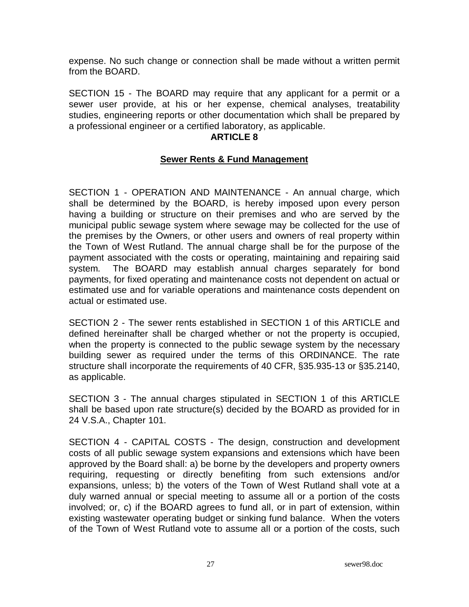expense. No such change or connection shall be made without a written permit from the BOARD.

SECTION 15 - The BOARD may require that any applicant for a permit or a sewer user provide, at his or her expense, chemical analyses, treatability studies, engineering reports or other documentation which shall be prepared by a professional engineer or a certified laboratory, as applicable.

#### **ARTICLE 8**

### **Sewer Rents & Fund Management**

SECTION 1 - OPERATION AND MAINTENANCE - An annual charge, which shall be determined by the BOARD, is hereby imposed upon every person having a building or structure on their premises and who are served by the municipal public sewage system where sewage may be collected for the use of the premises by the Owners, or other users and owners of real property within the Town of West Rutland. The annual charge shall be for the purpose of the payment associated with the costs or operating, maintaining and repairing said system. The BOARD may establish annual charges separately for bond payments, for fixed operating and maintenance costs not dependent on actual or estimated use and for variable operations and maintenance costs dependent on actual or estimated use.

SECTION 2 - The sewer rents established in SECTION 1 of this ARTICLE and defined hereinafter shall be charged whether or not the property is occupied, when the property is connected to the public sewage system by the necessary building sewer as required under the terms of this ORDINANCE. The rate structure shall incorporate the requirements of 40 CFR, §35.935-13 or §35.2140, as applicable.

SECTION 3 - The annual charges stipulated in SECTION 1 of this ARTICLE shall be based upon rate structure(s) decided by the BOARD as provided for in 24 V.S.A., Chapter 101.

SECTION 4 - CAPITAL COSTS - The design, construction and development costs of all public sewage system expansions and extensions which have been approved by the Board shall: a) be borne by the developers and property owners requiring, requesting or directly benefiting from such extensions and/or expansions, unless; b) the voters of the Town of West Rutland shall vote at a duly warned annual or special meeting to assume all or a portion of the costs involved; or, c) if the BOARD agrees to fund all, or in part of extension, within existing wastewater operating budget or sinking fund balance. When the voters of the Town of West Rutland vote to assume all or a portion of the costs, such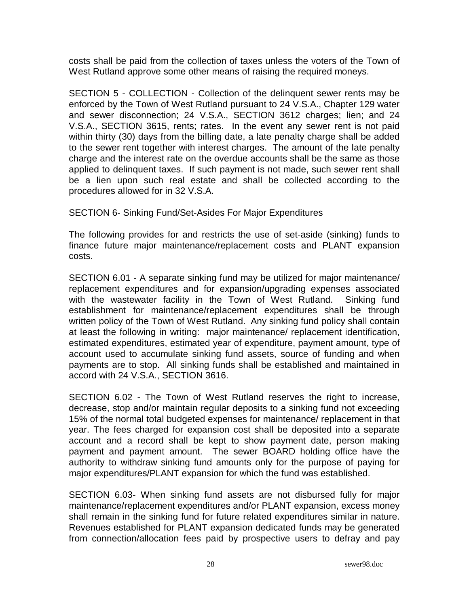costs shall be paid from the collection of taxes unless the voters of the Town of West Rutland approve some other means of raising the required moneys.

SECTION 5 - COLLECTION - Collection of the delinquent sewer rents may be enforced by the Town of West Rutland pursuant to 24 V.S.A., Chapter 129 water and sewer disconnection; 24 V.S.A., SECTION 3612 charges; lien; and 24 V.S.A., SECTION 3615, rents; rates. In the event any sewer rent is not paid within thirty (30) days from the billing date, a late penalty charge shall be added to the sewer rent together with interest charges. The amount of the late penalty charge and the interest rate on the overdue accounts shall be the same as those applied to delinquent taxes. If such payment is not made, such sewer rent shall be a lien upon such real estate and shall be collected according to the procedures allowed for in 32 V.S.A.

SECTION 6- Sinking Fund/Set-Asides For Major Expenditures

The following provides for and restricts the use of set-aside (sinking) funds to finance future major maintenance/replacement costs and PLANT expansion costs.

SECTION 6.01 - A separate sinking fund may be utilized for major maintenance/ replacement expenditures and for expansion/upgrading expenses associated with the wastewater facility in the Town of West Rutland. Sinking fund establishment for maintenance/replacement expenditures shall be through written policy of the Town of West Rutland. Any sinking fund policy shall contain at least the following in writing: major maintenance/ replacement identification, estimated expenditures, estimated year of expenditure, payment amount, type of account used to accumulate sinking fund assets, source of funding and when payments are to stop. All sinking funds shall be established and maintained in accord with 24 V.S.A., SECTION 3616.

SECTION 6.02 - The Town of West Rutland reserves the right to increase, decrease, stop and/or maintain regular deposits to a sinking fund not exceeding 15% of the normal total budgeted expenses for maintenance/ replacement in that year. The fees charged for expansion cost shall be deposited into a separate account and a record shall be kept to show payment date, person making payment and payment amount. The sewer BOARD holding office have the authority to withdraw sinking fund amounts only for the purpose of paying for major expenditures/PLANT expansion for which the fund was established.

SECTION 6.03- When sinking fund assets are not disbursed fully for major maintenance/replacement expenditures and/or PLANT expansion, excess money shall remain in the sinking fund for future related expenditures similar in nature. Revenues established for PLANT expansion dedicated funds may be generated from connection/allocation fees paid by prospective users to defray and pay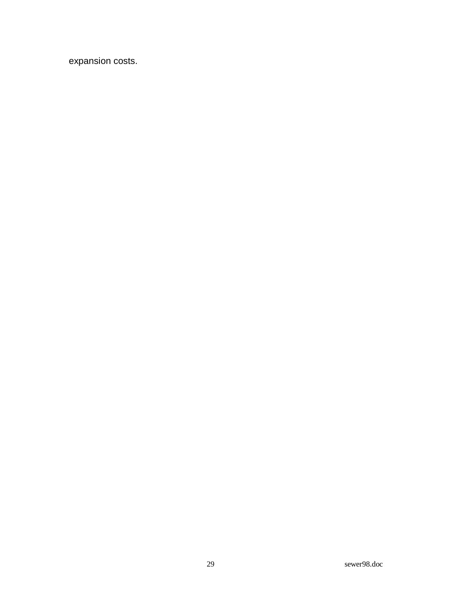expansion costs.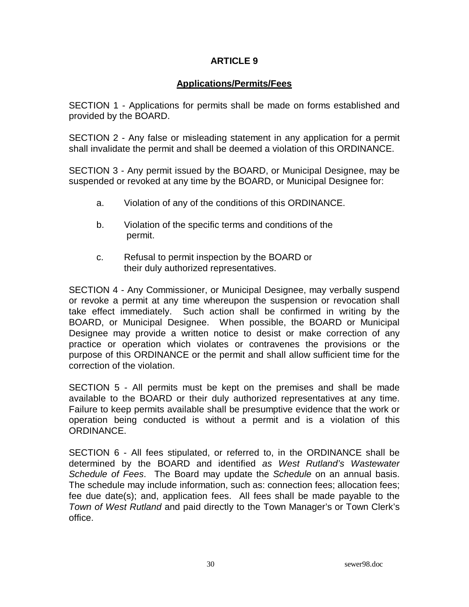#### **ARTICLE 9**

### **Applications/Permits/Fees**

SECTION 1 - Applications for permits shall be made on forms established and provided by the BOARD.

SECTION 2 - Any false or misleading statement in any application for a permit shall invalidate the permit and shall be deemed a violation of this ORDINANCE.

SECTION 3 - Any permit issued by the BOARD, or Municipal Designee, may be suspended or revoked at any time by the BOARD, or Municipal Designee for:

- a. Violation of any of the conditions of this ORDINANCE.
- b. Violation of the specific terms and conditions of the permit.
- c. Refusal to permit inspection by the BOARD or their duly authorized representatives.

SECTION 4 - Any Commissioner, or Municipal Designee, may verbally suspend or revoke a permit at any time whereupon the suspension or revocation shall take effect immediately. Such action shall be confirmed in writing by the BOARD, or Municipal Designee. When possible, the BOARD or Municipal Designee may provide a written notice to desist or make correction of any practice or operation which violates or contravenes the provisions or the purpose of this ORDINANCE or the permit and shall allow sufficient time for the correction of the violation.

SECTION 5 - All permits must be kept on the premises and shall be made available to the BOARD or their duly authorized representatives at any time. Failure to keep permits available shall be presumptive evidence that the work or operation being conducted is without a permit and is a violation of this ORDINANCE.

SECTION 6 - All fees stipulated, or referred to, in the ORDINANCE shall be determined by the BOARD and identified as West Rutland's Wastewater Schedule of Fees. The Board may update the Schedule on an annual basis. The schedule may include information, such as: connection fees; allocation fees; fee due date(s); and, application fees. All fees shall be made payable to the Town of West Rutland and paid directly to the Town Manager's or Town Clerk's office.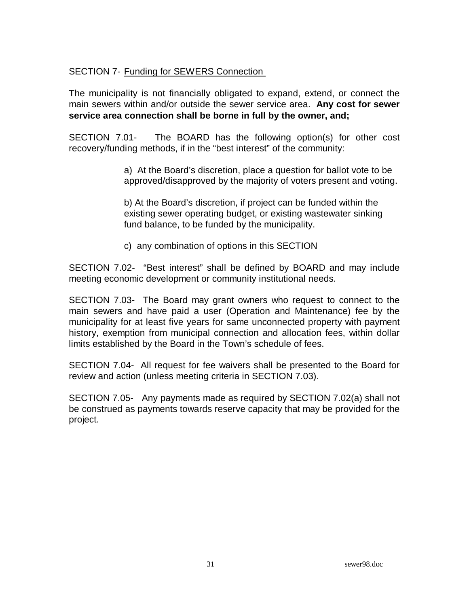### SECTION 7- Funding for SEWERS Connection

The municipality is not financially obligated to expand, extend, or connect the main sewers within and/or outside the sewer service area. **Any cost for sewer service area connection shall be borne in full by the owner, and;** 

SECTION 7.01- The BOARD has the following option(s) for other cost recovery/funding methods, if in the "best interest" of the community:

> a) At the Board's discretion, place a question for ballot vote to be approved/disapproved by the majority of voters present and voting.

 b) At the Board's discretion, if project can be funded within the existing sewer operating budget, or existing wastewater sinking fund balance, to be funded by the municipality.

c) any combination of options in this SECTION

SECTION 7.02- "Best interest" shall be defined by BOARD and may include meeting economic development or community institutional needs.

SECTION 7.03- The Board may grant owners who request to connect to the main sewers and have paid a user (Operation and Maintenance) fee by the municipality for at least five years for same unconnected property with payment history, exemption from municipal connection and allocation fees, within dollar limits established by the Board in the Town's schedule of fees.

SECTION 7.04- All request for fee waivers shall be presented to the Board for review and action (unless meeting criteria in SECTION 7.03).

SECTION 7.05- Any payments made as required by SECTION 7.02(a) shall not be construed as payments towards reserve capacity that may be provided for the project.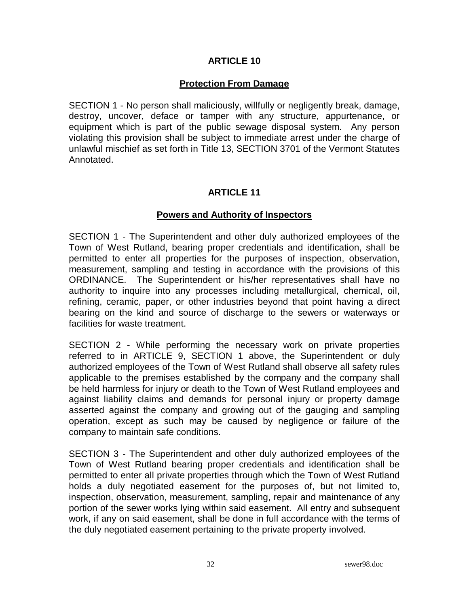#### **ARTICLE 10**

#### **Protection From Damage**

SECTION 1 - No person shall maliciously, willfully or negligently break, damage, destroy, uncover, deface or tamper with any structure, appurtenance, or equipment which is part of the public sewage disposal system. Any person violating this provision shall be subject to immediate arrest under the charge of unlawful mischief as set forth in Title 13, SECTION 3701 of the Vermont Statutes Annotated.

#### **ARTICLE 11**

#### **Powers and Authority of Inspectors**

SECTION 1 - The Superintendent and other duly authorized employees of the Town of West Rutland, bearing proper credentials and identification, shall be permitted to enter all properties for the purposes of inspection, observation, measurement, sampling and testing in accordance with the provisions of this ORDINANCE. The Superintendent or his/her representatives shall have no authority to inquire into any processes including metallurgical, chemical, oil, refining, ceramic, paper, or other industries beyond that point having a direct bearing on the kind and source of discharge to the sewers or waterways or facilities for waste treatment.

SECTION 2 - While performing the necessary work on private properties referred to in ARTICLE 9, SECTION 1 above, the Superintendent or duly authorized employees of the Town of West Rutland shall observe all safety rules applicable to the premises established by the company and the company shall be held harmless for injury or death to the Town of West Rutland employees and against liability claims and demands for personal injury or property damage asserted against the company and growing out of the gauging and sampling operation, except as such may be caused by negligence or failure of the company to maintain safe conditions.

SECTION 3 - The Superintendent and other duly authorized employees of the Town of West Rutland bearing proper credentials and identification shall be permitted to enter all private properties through which the Town of West Rutland holds a duly negotiated easement for the purposes of, but not limited to, inspection, observation, measurement, sampling, repair and maintenance of any portion of the sewer works lying within said easement. All entry and subsequent work, if any on said easement, shall be done in full accordance with the terms of the duly negotiated easement pertaining to the private property involved.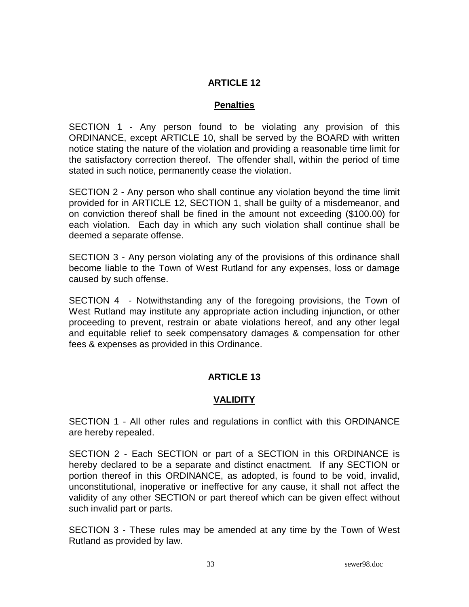### **ARTICLE 12**

#### **Penalties**

SECTION 1 - Any person found to be violating any provision of this ORDINANCE, except ARTICLE 10, shall be served by the BOARD with written notice stating the nature of the violation and providing a reasonable time limit for the satisfactory correction thereof. The offender shall, within the period of time stated in such notice, permanently cease the violation.

SECTION 2 - Any person who shall continue any violation beyond the time limit provided for in ARTICLE 12, SECTION 1, shall be guilty of a misdemeanor, and on conviction thereof shall be fined in the amount not exceeding (\$100.00) for each violation. Each day in which any such violation shall continue shall be deemed a separate offense.

SECTION 3 - Any person violating any of the provisions of this ordinance shall become liable to the Town of West Rutland for any expenses, loss or damage caused by such offense.

SECTION 4 - Notwithstanding any of the foregoing provisions, the Town of West Rutland may institute any appropriate action including injunction, or other proceeding to prevent, restrain or abate violations hereof, and any other legal and equitable relief to seek compensatory damages & compensation for other fees & expenses as provided in this Ordinance.

### **ARTICLE 13**

### **VALIDITY**

SECTION 1 - All other rules and regulations in conflict with this ORDINANCE are hereby repealed.

SECTION 2 - Each SECTION or part of a SECTION in this ORDINANCE is hereby declared to be a separate and distinct enactment. If any SECTION or portion thereof in this ORDINANCE, as adopted, is found to be void, invalid, unconstitutional, inoperative or ineffective for any cause, it shall not affect the validity of any other SECTION or part thereof which can be given effect without such invalid part or parts.

SECTION 3 - These rules may be amended at any time by the Town of West Rutland as provided by law.